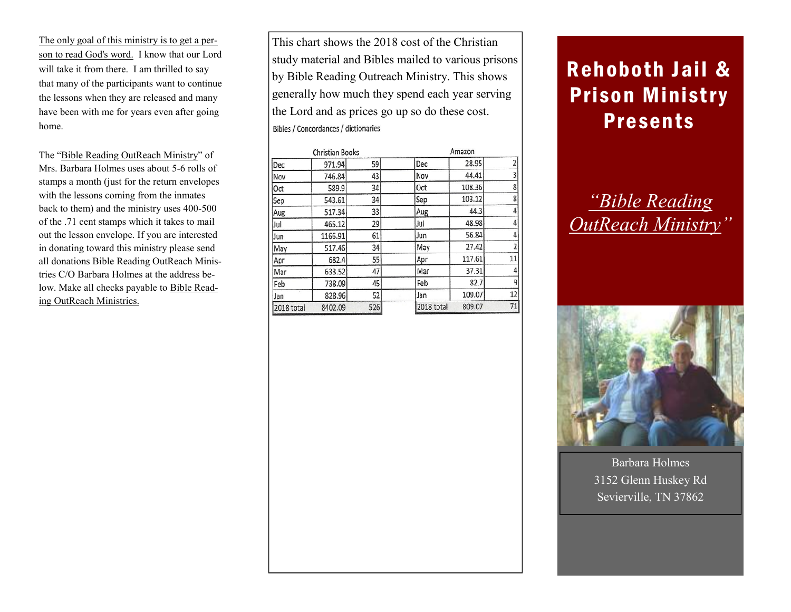The only goal of this ministry is to get a person to read God's word. I know that our Lord will take it from there. I am thrilled to say that many of the participants want to continue the lessons when they are released and many have been with me for years even after going home.

The "Bible Reading OutReach Ministry" of Mrs. Barbara Holmes uses about 5-6 rolls of stamps a month (just for the return envelopes with the lessons coming from the inmates back to them) and the ministry uses 400-500 of the .71 cent stamps which it takes to mail out the lesson envelope. If you are interested in donating toward this ministry please send all donations Bible Reading OutReach Ministries C/O Barbara Holmes at the address below. Make all checks payable to Bible Reading OutReach Ministries.

This chart shows the 2018 cost of the Christian study material and Bibles mailed to various prisonsby Bible Reading Outreach Ministry. This shows generally how much they spend each year serving the Lord and as prices go up so do these cost. Bibles / Concordances / dictionaries

| <b>Christian Books</b> |         |     | Amazon     |        |                |
|------------------------|---------|-----|------------|--------|----------------|
| Dec                    | 971.94  | 59  | Dec        | 28.95  | $\mathbf{Z}$   |
| Nov                    | 746.84  | 43  | Nov        | 44,41  | 3              |
| Oct                    | 589.9   | 34  | Oct        | 108.36 | 8              |
| Sep                    | 543.61  | 34  | Sep        | 103.12 | 8              |
| Aug                    | 517.34  | 33  | Aug        | 44.3   | 4              |
| Jul                    | 465.12  | 29  | Jul        | 48.98  | 4              |
| Jun                    | 1166.91 | 61  | Jun        | 56.84  | 4              |
| May                    | 517.46  | 34  | May        | 27.42  | $\overline{2}$ |
| Apr                    | 682.4   | 55  | Apr        | 117.61 | 11             |
| Mar                    | 633.52  | 47  | Mar        | 37.31  | 4              |
| Feb                    | 738.09  | 45  | Feb        | 82.7   | 9              |
| Jan                    | 828.96  | 52  | Jan        | 109.07 | 12             |
| 2018 total             | 8402.09 | 526 | 2018 total | 809.07 | 71             |

# Rehoboth Jail & **Prison Ministry Presents**

## *"Bible Reading OutReach Ministry"*



Barbara Holmes 3152 Glenn Huskey Rd Sevierville, TN 37862